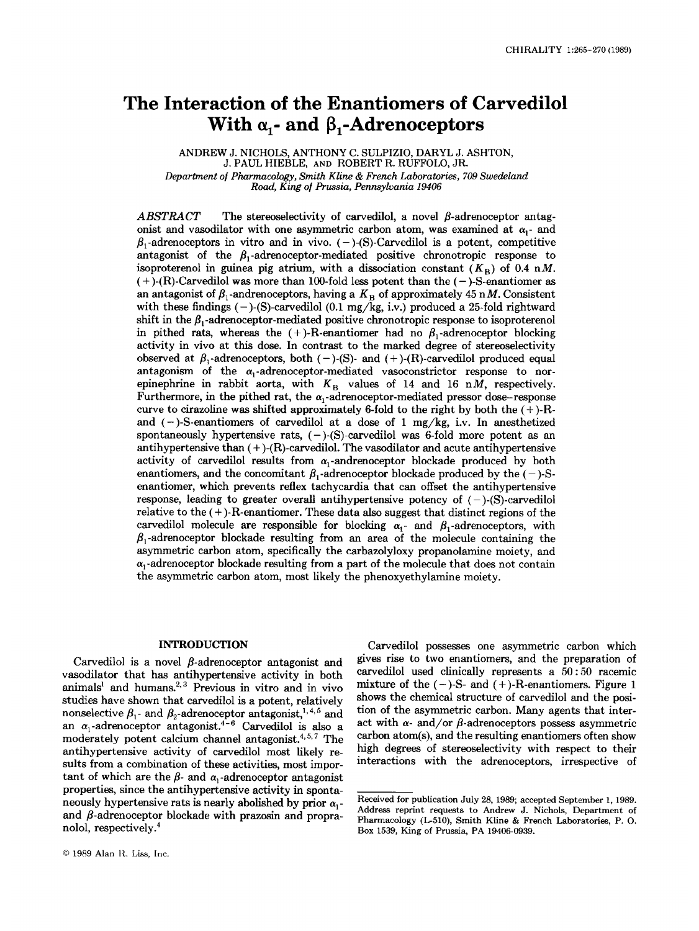# **The Interaction of the Enantiomers of Carvedilol**  With  $\alpha_1$ - and  $\beta_1$ -Adrenoceptors

ANDREW J. NICHOLS, ANTHONY C. SULPIZIO, DARYL J. **ASHTON,**  J. PAUL HIEBLE, AND ROBERT R. RUFFOLO, JR. *Department of Phnrmcobgy, Smith Kline* & *French Laboratories, 709 Swedeland Road, King of Prussia, Pennsylvania 19406* 

 $ABSTRACT$  The stereoselectivity of carvedilol, a novel  $\beta$ -adrenoceptor antagonist and vasodilator with one asymmetric carbon atom, was examined at  $\alpha_1$ - and  $\beta_1$ -adrenoceptors in vitro and in vivo. (-)-(S)-Carvedilol is a potent, competitive antagonist of the  $\beta_1$ -adrenoceptor-mediated positive chronotropic response to isoproterenol in guinea pig atrium, with a dissociation constant  $(K_B)$  of 0.4 nM.  $( + )$ -(R)-Carvedilol was more than 100-fold less potent than the  $(-)$ -S-enantiomer as an antagonist of  $\beta_1$ -andrenoceptors, having a  $K_B$  of approximately 45 nM. Consistent with these findings (-)-(S)-carvedilol **(0.1** mg/kg, i.v.) produced a 25-fold rightward shift in the  $\beta_1$ -adrenoceptor-mediated positive chronotropic response to isoproterenol in pithed rats, whereas the  $(+)$ -R-enantiomer had no  $\beta_1$ -adrenoceptor blocking activity in vivo at this dose. In contrast to the marked degree of stereoselectivity observed at  $\beta_1$ -adrenoceptors, both  $(-)$ -(S)- and  $(+)$ -(R)-carvedilol produced equal antagonism of the  $\alpha_1$ -adrenoceptor-mediated vasoconstrictor response to norepinephrine in rabbit aorta, with  $K_B$  values of 14 and 16 nM, respectively. Furthermore, in the pithed rat, the  $\alpha_1$ -adrenoceptor-mediated pressor dose-response curve to cirazoline was shifted approximately 6-fold to the right by both the  $(+)$ -Rand (-)-S-enantiomers of carvedilol at a dose of **1** mg/kg, i.v. In anesthetized spontaneously hypertensive rats, ( - )-(S)-carvedilol was 6-fold more potent **as** an antihypertensive than  $(+)$ - $(R)$ -carvedilol. The vasodilator and acute antihypertensive activity of carvedilol results from  $\alpha_1$ -andrenoceptor blockade produced by both enantiomers, and the concomitant  $\beta_1$ -adrenoceptor blockade produced by the (-)-Senantiomer, which prevents reflex tachycardia that can offset the antihypertensive response, leading to greater overall antihypertensive potency of  $(-)$ - $(S)$ -carvedilol relative to the  $(+)$ -R-enantiomer. These data also suggest that distinct regions of the carvedilol molecule are responsible for blocking  $\alpha_1$ - and  $\beta_1$ -adrenoceptors, with  $\beta_1$ -adrenoceptor blockade resulting from an area of the molecule containing the asymmetric carbon atom, specifically the carbazolyloxy propanolamine moiety, and  $\alpha_1$ -adrenoceptor blockade resulting from a part of the molecule that does not contain the asymmetric carbon atom, most likely the phenoxyethylamine moiety.

#### **INTRODUCTION**

Carvedilol is a novel  $\beta$ -adrenoceptor antagonist and vasodilator that has antihypertensive activity in both animals<sup>1</sup> and humans.<sup>2,3</sup> Previous in vitro and in vivo studies have shown that carvedilol is a potent, relatively nonselective  $\beta_1$ - and  $\beta_2$ -adrenoceptor antagonist,  $^{1,4,5}$  and an  $\alpha_1$ -adrenoceptor antagonist.<sup>4-6</sup> Carvedilol is also a moderately potent calcium channel antagonist. $4,5,7$  The antihypertensive activity of carvedilol most likely results from a combination of these activities, most important of which are the  $\beta$ - and  $\alpha$ <sub>1</sub>-adrenoceptor antagonist properties, since the antihypertensive activity in spontaneously hypertensive rats is nearly abolished by prior  $\alpha_1$ and  $\beta$ -adrenoceptor blockade with prazosin and propranolol, respectively:

Carvedilol possesses one asymmetric carbon which gives rise to two enantiomers, and the preparation of carvedilol used clinically represents a **50:50** racemic mixture of the  $(-)$ -S- and  $(+)$ -R-enantiomers. Figure 1 shows the chemical structure of carvedilol and the position of the asymmetric carbon. Many agents that interact with  $\alpha$ - and/or  $\beta$ -adrenoceptors possess asymmetric carbon atom(s), and the resulting enantiomers often show high degrees of stereoselectivity with respect to their interactions with the adrenoceptors, irrespective of

**Received for publication July 28, 1989; accepted September 1, 1989. Address reprint requests to Andrew J. Nichols, Department** of **Pharmacology (L-510), Smith Kline** & **French Laboratories, P. 0. Box 1539, King of Prussia, PA 19406-0939.**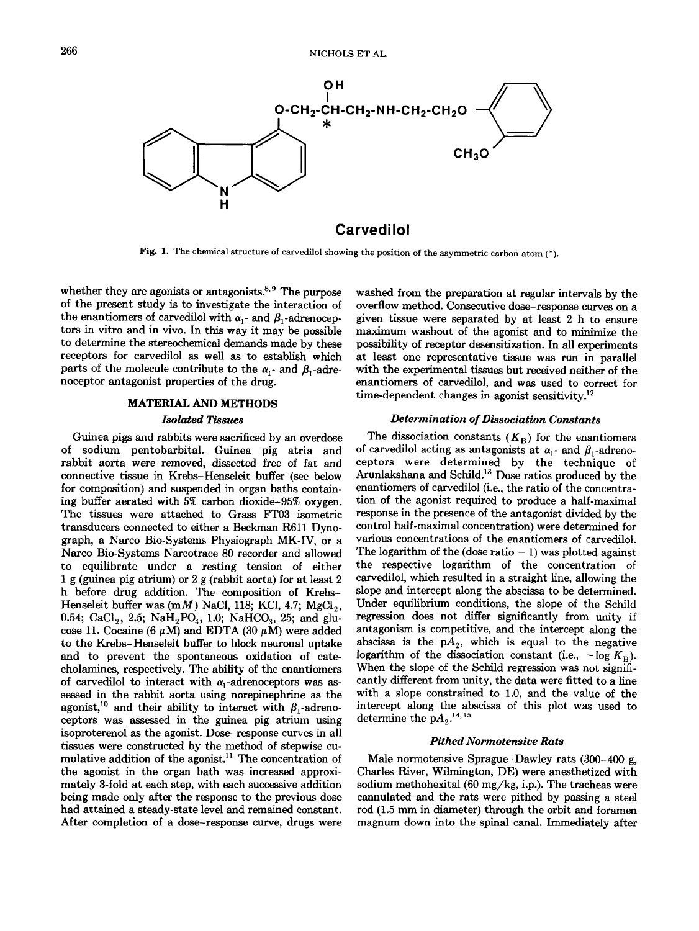

**Fig. 1. The chemical structure of carvedilol showing the position of the asymmetric carbon atom** (\*).

whether they are agonists or antagonists. $8.9$  The purpose of the present study is to investigate the interaction of the enantiomers of carvedilol with  $\alpha_1$ - and  $\beta_1$ -adrenoceptors in vitro and in vivo. In this way it may be possible to determine the stereochemical demands made by these receptors for carvedilol **as** well **as** to establish which parts of the molecule contribute to the  $\alpha_i$ - and  $\beta_i$ -adrenoceptor antagonist properties of the drug.

#### **MATERIAL AND METHODS**

#### *Isolated Tissues*

Guinea pigs and rabbits were sacrificed by an overdose of sodium pentobarbital. Guinea pig atria and rabbit aorta were removed, dissected **free** of fat and connective tissue in Krebs-Henseleit buffer (see below for composition) and suspended in organ baths containing buffer aerated with 5% carbon dioxide-95% oxygen. The tissues were attached to Grass FTO3 isometric transducers connected to either a Beckman R611 Dynograph, a Narco Bio-Systems Physiograph MK-IV, or a Narco Bio-Systems Narcotrace 80 recorder and allowed to equilibrate under a resting tension of either 1 g (guinea pig atrium) or 2 g (rabbit aorta) for at least 2 h before drug addition. The composition of Krebs-Henseleit buffer was  $(mM)$  NaCl, 118; KCl, 4.7; MgCl<sub>2</sub>, 0.54; CaCl<sub>2</sub>, 2.5; NaH<sub>2</sub>PO<sub>4</sub>, 1.0; NaHCO<sub>3</sub>, 25; and glucose 11. Cocaine (6  $\mu$ M) and EDTA (30  $\mu$ M) were added to the Krebs-Henseleit buffer to block neuronal uptake and to prevent the spontaneous oxidation of catecholamines, respectively. The ability of the enantiomers of carvedilol to interact with  $\alpha_1$ -adrenoceptors was assessed in the rabbit aorta using norepinephrine **as** the agonist,<sup>10</sup> and their ability to interact with  $\beta_1$ -adrenoceptors was assessed in the guinea pig atrium using isoproterenol **as** the agonist. Dose-response curves in all tissues were constructed by the method of stepwise cumulative addition of the agonist.<sup>11</sup> The concentration of the agonist in the organ bath was increased approximately 3-fold at each step, with each successive addition being made only after the response to the previous dose had attained a steady-state level and remained constant. After completion of a dose-response curve, drugs were

washed from the preparation at regular intervals by the overflow method. Consecutive dose-response curves on a given tissue were separated by at least 2 h to ensure maximum washout of the agonist and to minimize the possibility of receptor desensitization. In all experiments at least one representative tissue was run in parallel with the experimental tissues but received neither of the enantiomers of carvedilol, and was used to correct for time-dependent changes in agonist sensitivity.<sup>12</sup>

# *Determination of Dissociation Constants*

The dissociation constants  $(K_B)$  for the enantiomers of carvedilol acting as antagonists at  $\alpha_1$ - and  $\beta_1$ -adrenoceptors were determined by the technique of Arunlakshana and Schild.<sup>13</sup> Dose ratios produced by the enantiomers of carvedilol (i.e., the ratio of the concentration of the agonist required to produce a half-maximal response in the presence of the antagonist divided by the control half-maximal concentration) were determined for various concentrations of the enantiomers of carvedilol. The logarithm of the (dose ratio  $-1$ ) was plotted against the respective logarithm of the concentration of carvedilol, which resulted in a straight line, allowing the slope and intercept along the abscissa to be determined. Under equilibrium conditions, the slope of the Schild regression does not differ significantly from unity if antagonism is competitive, and the intercept along the abscissa is the  $pA_2$ , which is equal to the negative logarithm of the dissociation constant (i.e.,  $-\log K_B$ ). When the slope of the Schild regression was not significantly different from unity, the data were fitted to a line with a slope constrained to 1.0, and the value of the intercept along the abscissa of this plot was used to determine the  $\mathrm{p}A_{2}.^{14,\,15}$ 

#### *pithed Normotensive Rats*

Male normotensive Sprague-Dawley rats (300-400 g, Charles River, Wilmington, DE) were anesthetized with sodium methohexital  $(60 \text{ mg/kg}, i.p.).$  The tracheas were cannulated and the rats were pithed by passing a steel rod (1.5 mm in diameter) through the orbit and foramen magnum down into the spinal canal. Immediately after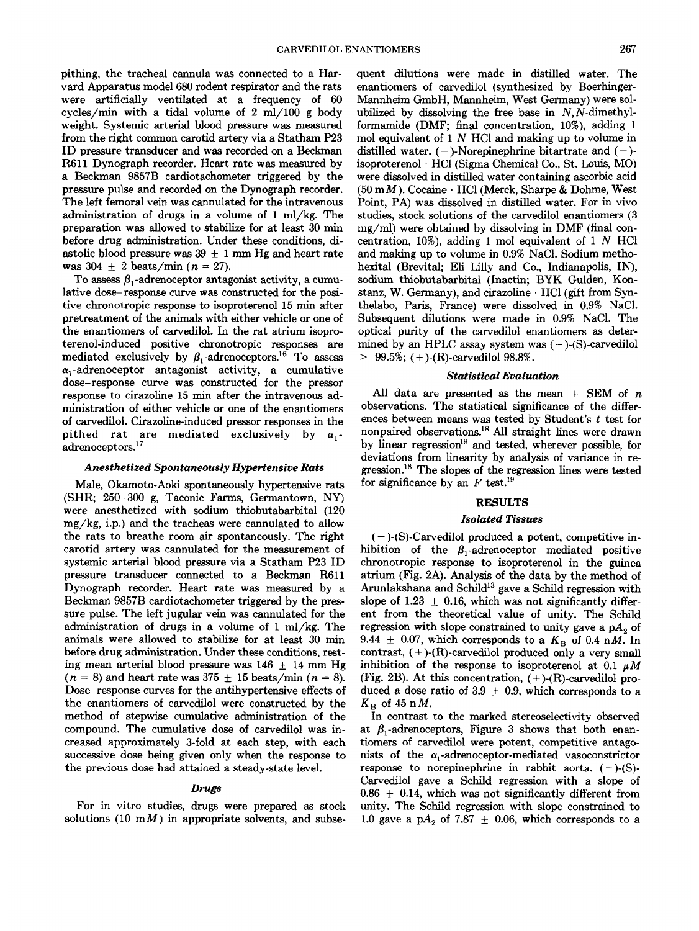pithing, the tracheal cannula was connected to a Harvard Apparatus model 680 rodent respirator and the rats were artificially ventilated at a frequency of 60 cycles/min with a tidal volume of 2 m1/100 g body weight. Systemic arterial blood pressure was measured from the right common carotid artery via a Statham P23 ID pressure transducer and was recorded on a Beckman R611 Dynograph recorder. Heart rate was measured by a Beckman 9857B cardiotachometer triggered by the pressure pulse and recorded on the Dynograph recorder. The left femoral vein was cannulated for the intravenous administration of drugs in a volume of  $1 \text{ ml/kg}$ . The preparation was allowed to stabilize for at least 30 **min**  before drug administration. Under these conditions, diastolic blood pressure was  $39 \pm 1$  mm Hg and heart rate was  $304 \pm 2$  beats/min  $(n = 27)$ .

To assess  $\beta_1$ -adrenoceptor antagonist activity, a cumulative dose- response curve was constructed for the positive chronotropic response to isoproterenol 15 min after pretreatment of the animals with either vehicle or one of the enantiomers of carvedilol. In the rat atrium isoproterenol-induced positive chronotropic responses are mediated exclusively by  $\beta_1$ -adrenoceptors.<sup>16</sup> To assess  $\alpha_1$ -adrenoceptor antagonist activity, a cumulative dose-response curve was constructed for the pressor response to cirazoline 15 min after the intravenous administration of either vehicle or one of the enantiomers of carvedilol. Cirazoline-induced pressor responses in the pithed rat are mediated exclusively by  $\alpha_1$ adrenoceptors.'

# *Anesthetized Spontaneously Hypertensive Rats*

Male, Okamoto-Aoki spontaneously hypertensive rats (SHR; 250-300 g, Taconic Farms, Germantown, NY) were anesthetized with sodium thiobutabarbital (120 mg/kg, i.p.) and the tracheas were cannulated to allow the rats to breathe room air spontaneously. The right carotid artery was cannulated for the measurement of systemic arterial blood pressure via a Statham P23 ID pressure transducer connected to a Beckman R611 Dynograph recorder. Heart rate was measured by a Beckman 9857B cardiotachometer triggered by the pressure pulse. The left jugular vein was cannulated for the administration of drugs in a volume of  $1 \text{ ml/kg}$ . The animals were allowed to stabilize for at least 30 min before drug administration. Under these conditions, resting mean arterial blood pressure was  $146 \pm 14$  mm Hg  $(n = 8)$  and heart rate was  $375 \pm 15$  beats/min  $(n = 8)$ . Dose-response curves for the antihypertensive effects of the enantiomers of carvedilol were constructed by the method of stepwise cumulative administration of the compound. The cumulative dose of carvedilol was increased approximately 3-fold at each step, with each successive dose being given only when the response to the previous dose had attained a steady-state level.

## *Drugs*

For in vitro studies, drugs were prepared **as** stock solutions (10 mM) in appropriate solvents, and subsequent dilutions were made in distilled water. The enantiomers of carvedilol (synthesized by Boerhinger-Mannheim GmbH, Mannheim, West Germany) were solubilized by dissolving the free base in  $N$ ,  $N$ -dimethylformamide (DMF; final concentration, 10%), adding 1 mol equivalent of  $1 N$  HCl and making up to volume in distilled water.  $(-)$ -Norepinephrine bitartrate and  $(-)$ isoproterenol . HC1 (Sigma Chemical Co., St. Louis, MO) were dissolved in distilled water containing ascorbic acid **(50** mM). Cocaine . HC1 (Merck, Sharpe & Dohme, West Point, PA) was dissolved in distilled water. For in vivo studies, stock solutions of the carvedilol enantiomers (3 mg/ml) were obtained by dissolving in DMF (final concentration, 10%), adding 1 mol equivalent of 1  $N$  HCl and making up to volume in 0.9% NaC1. Sodium methohexital (Brevital; Eli Lilly and Co., Indianapolis, IN), sodium thiobutabarbital (Inactin; BYK Gulden, Konstanz, W. Germany), and cirazoline  $\cdot$  HCl (gift from Synthelabo, Paris, France) were dissolved in **0.9%** NaCl. Subsequent dilutions were made in 0.9% NaCl. The optical purity of the carvedilol enantiomers **as** determined by an HPLC assay system was  $(-)$ - $(S)$ -carvedilol  $> 99.5\%$ ; (+)-(R)-carvedilol 98.8%.

#### *Statistical Evaluation*

All data are presented as the mean  $\pm$  SEM of *n* observations. The statistical significance of the differences between means was tested by Student's *t* test for nonpaired observations.<sup>18</sup> All straight lines were drawn by linear regression<sup>19</sup> and tested, wherever possible, for deviations from linearity by analysis of variance in regression.18 The slopes of the regression lines were tested for significance by an  $F$  test.<sup>19</sup>

### **RESULTS**

### *Isolated Tissues*

 $(-)$ -(S)-Carvedilol produced a potent, competitive inhibition of the  $\beta_1$ -adrenoceptor mediated positive chronotropic response to isoproterenol in the guinea atrium (Fig. 2A). Analysis of the data by the method of Arunlakshana and Schild<sup>13</sup> gave a Schild regression with slope of 1.23  $\pm$  0.16, which was not significantly different from the theoretical value of unity. The Schild regression with slope constrained to unity gave a  $pA_2$  of 9.44  $\pm$  0.07, which corresponds to a  $K_B$  of 0.4 nM. In contrast, (+)-(R)-carvedilol produced only a very small inhibition of the response to isoproterenol at 0.1  $\mu$ M (Fig. 2B). At this concentration,  $(+)$ -(R)-carvedilol produced a dose ratio of 3.9  $\pm$  0.9, which corresponds to a  $K_{\rm B}$  of 45 n*M*.

In contrast to the marked stereoselectivity observed at  $\beta_1$ -adrenoceptors, Figure 3 shows that both enantiomers of carvedilol were potent, competitive antagonists of the  $\alpha_1$ -adrenoceptor-mediated vasoconstrictor response to norepinephrine in rabbit aorta.  $(-)$ - $(S)$ -Carvedilol gave a Schild regression with a slope of  $0.86 \pm 0.14$ , which was not significantly different from unity. The Schild regression with slope constrained to 1.0 gave a  $pA_2$  of 7.87  $\pm$  0.06, which corresponds to a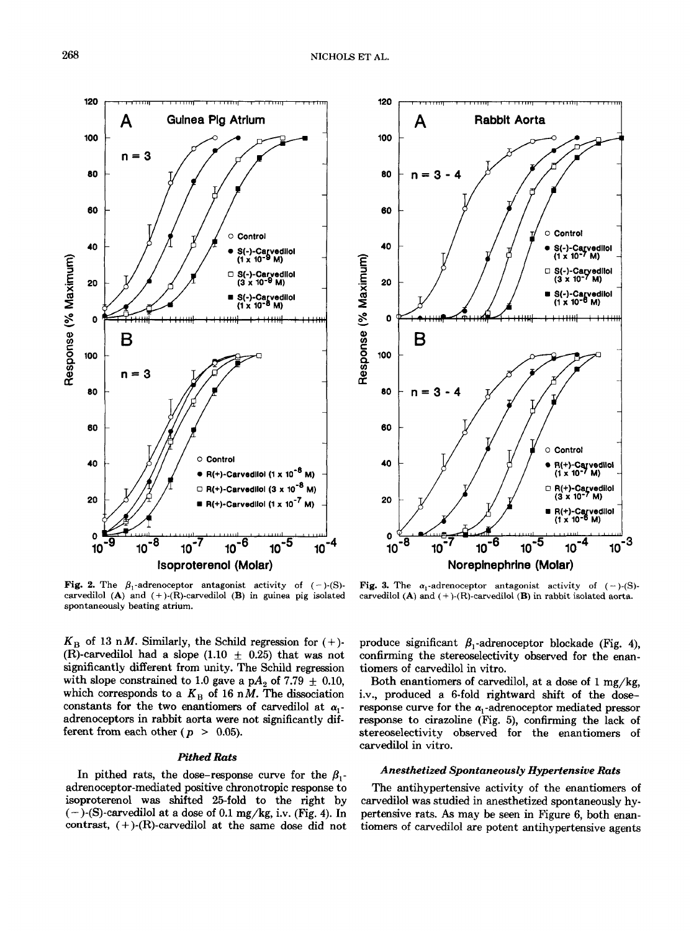

**Fig. 2.** The  $\beta_1$ -adrenoceptor antagonist activity of  $(-)$ -(S)**carvedilol (A) and (+)-(R)-carvedilol (B) in guinea pig isolated spontaneously beating atrium.** 

 $K_{\rm B}$  of 13 n*M*. Similarly, the Schild regression for  $(+)$ -(R)-carvedilol had a slope (1.10  $\pm$  0.25) that was not significantly different from unity. The Schild regression with slope constrained to 1.0 gave a p $A_2$  of 7.79  $\pm$  0.10, which corresponds to a  $K_B$  of 16 nM. The dissociation constants for the two enantiomers of carvedilol at  $\alpha_1$ adrenoceptors in rabbit aorta were not significantly different from each other ( $p > 0.05$ ).

### *Pithed Rats*

In pithed rats, the dose-response curve for the  $\beta_1$ adrenoceptor-mediated positive chronotropic response to isoproterenol was shifted 25-fold to the right by  $(-)$ -(S)-carvedilol at a dose of 0.1 mg/kg, i.v. (Fig. 4). In contrast,  $(+)$ - $(R)$ -carvedilol at the same dose did not



**Fig. 3.** The  $\alpha_1$ -adrenoceptor antagonist activity of  $(-)$ -(S)**carvedilol (A) and** (+ **)-(R)-carvedilol (B) in rabbit isolated aorta.** 

produce significant  $\beta_1$ -adrenoceptor blockade (Fig. 4), confirming the stereoselectivity observed for the enantiomers of carvedilol in vitro.

Both enantiomers of carvedilol, at a dose of  $1 \text{ mg/kg}$ , i.v., produced a 6-fold rightward shift of the doseresponse curve for the  $\alpha_1$ -adrenoceptor mediated pressor response to cirazoline (Fig. 5), confirming the lack of stereoselectivity observed for the enantiomers of carvedilol in vitro.

## *Anesthetized Spontaneously Hypertensive Rats*

The antihypertensive activity of the enantiomers of carvedilol was studied in anesthetized spontaneously hypertensive rats. *As* may be seen in Figure 6, both enantiomers of carvedilol are potent antihypertensive agents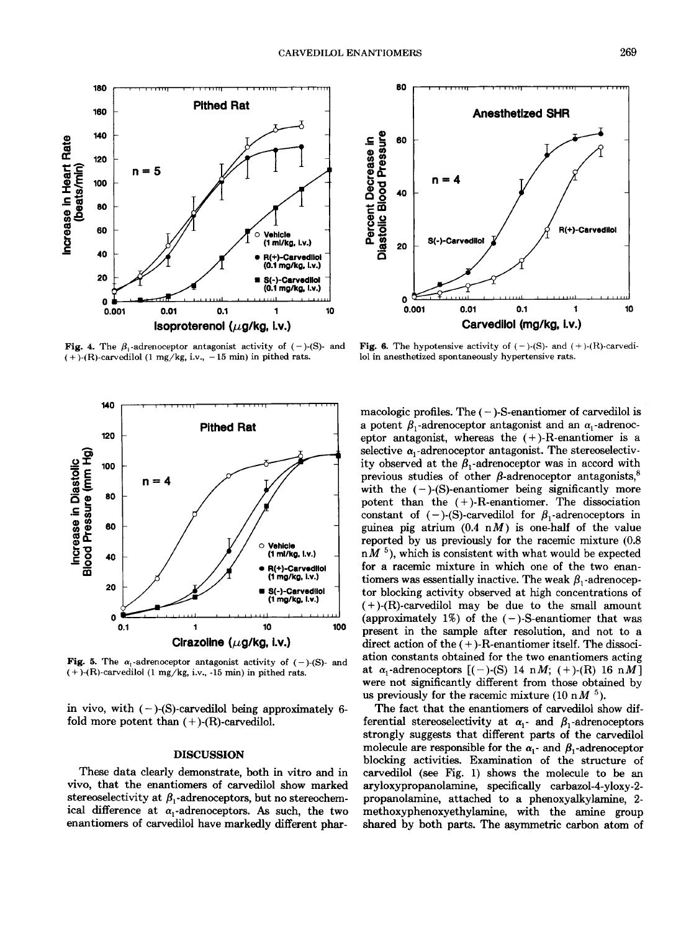**Fig. 4.** The  $\beta_1$ -adrenoceptor antagonist activity of (-)-(S)- and  $(+)$ -(R)-carvedilol (1 mg/kg, i.v., -15 min) in pithed rats.

Vehicle (1 ml/kg, l.v.) R(+)-Carvedilol (1 mg/kg, i.v.) S(-)-Carvedilol (1 mg/kg, l.v.) 10 100  $\mathbf{1}$ Cirazoline (µg/kg, i.v.) **Fig. 5.** The  $\alpha_1$ -adrenoceptor antagonist activity of  $(-)$ -(S)- and  $(+)$ -(R)-carvedilol (1 mg/kg, i.v., -15 min) in pithed rats.

in vivo, with  $(-)$ -(S)-carvedilol being approximately 6fold more potent than  $(+)$ - $(R)$ -carvedilol.

#### **DISCUSSION**

These data clearly demonstrate, both in vitro and in vivo, that the enantiomers of carvedilol show marked stereoselectivity at  $\beta_1$ -adrenoceptors, but no stereochemical difference at  $\alpha_1$ -adrenoceptors. As such, the two enantiomers of carvedilol have markedly different phar-



macologic profiles. The  $(-)$ -S-enantiomer of carved ilol is a potent  $\beta_1$ -adrenoceptor antagonist and an  $\alpha_1$ -adrenoceptor antagonist, whereas the  $(+)$ -R-enantiomer is a selective  $\alpha_1$ -adrenoceptor antagonist. The stereoselectivity observed at the  $\beta_1$ -adrenoceptor was in accord with previous studies of other  $\beta$ -adrenoceptor antagonists,<sup>8</sup> with the  $(-)$ - $(S)$ -enantiomer being significantly more potent than the  $(+)$ -R-enantiomer. The dissociation constant of  $(-)$ -(S)-carved ilol for  $\beta_1$ -adrenoceptors in guinea pig atrium  $(0.4 \, \text{n})$  is one-half of the value reported by us previously for the racemic mixture (0.8)  $nM<sup>5</sup>$ , which is consistent with what would be expected for a racemic mixture in which one of the two enantiomers was essentially inactive. The weak  $\beta_1$ -adrenoceptor blocking activity observed at high concentrations of  $(+)$ -(R)-carved ilol may be due to the small amount (approximately 1%) of the  $(-)$ -S-enantiomer that was present in the sample after resolution, and not to a direct action of the  $(+)$ -R-enantiomer itself. The dissociation constants obtained for the two enantiomers acting at  $\alpha_1$ -adrenoceptors  $[(-)-$ (S) 14 nM;  $(+)$ -(R) 16 nM] were not significantly different from those obtained by us previously for the racemic mixture (10 nM  $^5$ ).

The fact that the enantiomers of carvedilol show differential stereoselectivity at  $\alpha_1$ - and  $\beta_1$ -adrenoceptors strongly suggests that different parts of the carvedilol molecule are responsible for the  $\alpha_1$ - and  $\beta_1$ -adrenoceptor blocking activities. Examination of the structure of carvedilol (see Fig. 1) shows the molecule to be an aryloxypropanolamine, specifically carbazol-4-yloxy-2propanolamine, attached to a phenoxyalkylamine, 2methoxyphenoxyethylamine, with the amine group shared by both parts. The asymmetric carbon atom of